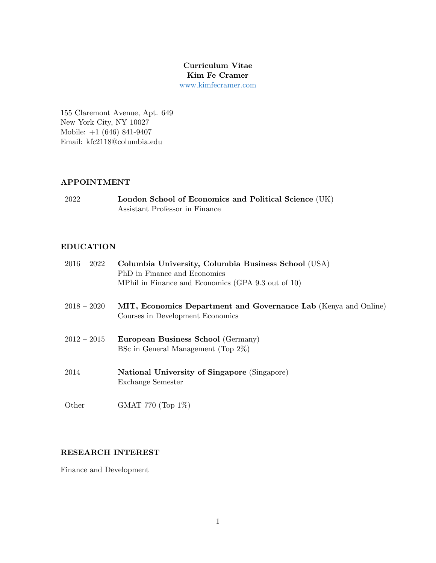## Curriculum Vitae Kim Fe Cramer [www.kimfecramer.com](http://www.kimfecramer.com)

155 Claremont Avenue, Apt. 649 New York City, NY 10027 Mobile: +1 (646) 841-9407 Email: kfc2118@columbia.edu

## APPOINTMENT

2022 London School of Economics and Political Science (UK) Assistant Professor in Finance

## EDUCATION

| $2016-2022$   | Columbia University, Columbia Business School (USA)<br>PhD in Finance and Economics<br>MPhil in Finance and Economics (GPA 9.3 out of 10) |
|---------------|-------------------------------------------------------------------------------------------------------------------------------------------|
| $2018 - 2020$ | MIT, Economics Department and Governance Lab (Kenya and Online)<br>Courses in Development Economics                                       |
| $2012 - 2015$ | European Business School (Germany)<br>BSc in General Management (Top $2\%$ )                                                              |
| 2014          | <b>National University of Singapore (Singapore)</b><br>Exchange Semester                                                                  |
| Other         | GMAT 770 (Top $1\%$ )                                                                                                                     |

### RESEARCH INTEREST

Finance and Development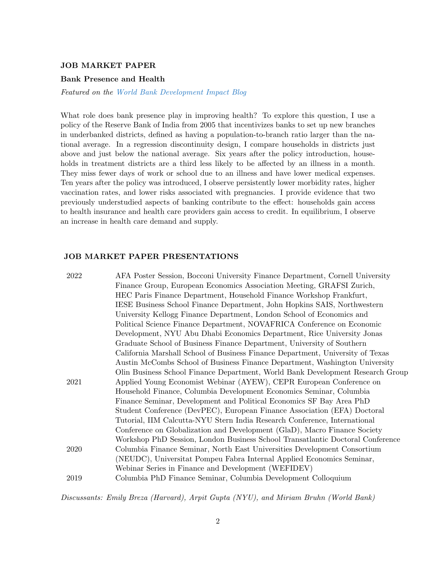#### JOB MARKET PAPER

#### Bank Presence and Health

Featured on the [World Bank Development Impact Blog](https://blogs.worldbank.org/impactevaluations/role-financial-sector-improving-households-health-guest-post-kim-fe-cramer?cid=SHR_BlogSiteShare_EN_EXT)

What role does bank presence play in improving health? To explore this question, I use a policy of the Reserve Bank of India from 2005 that incentivizes banks to set up new branches in underbanked districts, defined as having a population-to-branch ratio larger than the national average. In a regression discontinuity design, I compare households in districts just above and just below the national average. Six years after the policy introduction, households in treatment districts are a third less likely to be affected by an illness in a month. They miss fewer days of work or school due to an illness and have lower medical expenses. Ten years after the policy was introduced, I observe persistently lower morbidity rates, higher vaccination rates, and lower risks associated with pregnancies. I provide evidence that two previously understudied aspects of banking contribute to the effect: households gain access to health insurance and health care providers gain access to credit. In equilibrium, I observe an increase in health care demand and supply.

#### JOB MARKET PAPER PRESENTATIONS

| 2022 | AFA Poster Session, Bocconi University Finance Department, Cornell University  |
|------|--------------------------------------------------------------------------------|
|      | Finance Group, European Economics Association Meeting, GRAFSI Zurich,          |
|      | HEC Paris Finance Department, Household Finance Workshop Frankfurt,            |
|      | IESE Business School Finance Department, John Hopkins SAIS, Northwestern       |
|      | University Kellogg Finance Department, London School of Economics and          |
|      | Political Science Finance Department, NOVAFRICA Conference on Economic         |
|      | Development, NYU Abu Dhabi Economics Department, Rice University Jonas         |
|      | Graduate School of Business Finance Department, University of Southern         |
|      | California Marshall School of Business Finance Department, University of Texas |
|      | Austin McCombs School of Business Finance Department, Washington University    |
|      | Olin Business School Finance Department, World Bank Development Research Group |
| 2021 | Applied Young Economist Webinar (AYEW), CEPR European Conference on            |
|      | Household Finance, Columbia Development Economics Seminar, Columbia            |
|      | Finance Seminar, Development and Political Economics SF Bay Area PhD           |
|      | Student Conference (DevPEC), European Finance Association (EFA) Doctoral       |
|      | Tutorial, IIM Calcutta-NYU Stern India Research Conference, International      |
|      | Conference on Globalization and Development (GlaD), Macro Finance Society      |
|      | Workshop PhD Session, London Business School Transatlantic Doctoral Conference |
| 2020 | Columbia Finance Seminar, North East Universities Development Consortium       |
|      | (NEUDC), Universitat Pompeu Fabra Internal Applied Economics Seminar,          |
|      | Webinar Series in Finance and Development (WEFIDEV)                            |
| 2019 | Columbia PhD Finance Seminar, Columbia Development Colloquium                  |
|      |                                                                                |

Discussants: Emily Breza (Harvard), Arpit Gupta (NYU), and Miriam Bruhn (World Bank)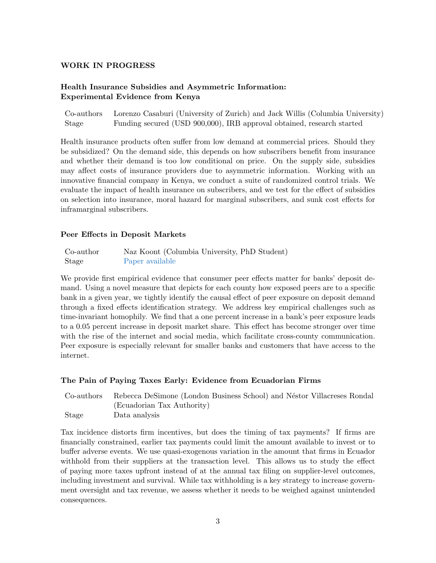### WORK IN PROGRESS

## Health Insurance Subsidies and Asymmetric Information: Experimental Evidence from Kenya

Co-authors Lorenzo Casaburi (University of Zurich) and Jack Willis (Columbia University) Stage Funding secured (USD 900,000), IRB approval obtained, research started

Health insurance products often suffer from low demand at commercial prices. Should they be subsidized? On the demand side, this depends on how subscribers benefit from insurance and whether their demand is too low conditional on price. On the supply side, subsidies may affect costs of insurance providers due to asymmetric information. Working with an innovative financial company in Kenya, we conduct a suite of randomized control trials. We evaluate the impact of health insurance on subscribers, and we test for the effect of subsidies on selection into insurance, moral hazard for marginal subscribers, and sunk cost effects for inframarginal subscribers.

#### Peer Effects in Deposit Markets

| Co-author | Naz Koont (Columbia University, PhD Student) |
|-----------|----------------------------------------------|
| Stage     | Paper available                              |

We provide first empirical evidence that consumer peer effects matter for banks' deposit demand. Using a novel measure that depicts for each county how exposed peers are to a specific bank in a given year, we tightly identify the causal effect of peer exposure on deposit demand through a fixed effects identification strategy. We address key empirical challenges such as time-invariant homophily. We find that a one percent increase in a bank's peer exposure leads to a 0.05 percent increase in deposit market share. This effect has become stronger over time with the rise of the internet and social media, which facilitate cross-county communication. Peer exposure is especially relevant for smaller banks and customers that have access to the internet.

#### The Pain of Paying Taxes Early: Evidence from Ecuadorian Firms

|       | Co-authors Rebecca DeSimone (London Business School) and Néstor Villacreses Rondal |
|-------|------------------------------------------------------------------------------------|
|       | (Ecuadorian Tax Authority)                                                         |
| Stage | Data analysis                                                                      |

Tax incidence distorts firm incentives, but does the timing of tax payments? If firms are financially constrained, earlier tax payments could limit the amount available to invest or to buffer adverse events. We use quasi-exogenous variation in the amount that firms in Ecuador withhold from their suppliers at the transaction level. This allows us to study the effect of paying more taxes upfront instead of at the annual tax filing on supplier-level outcomes, including investment and survival. While tax withholding is a key strategy to increase government oversight and tax revenue, we assess whether it needs to be weighed against unintended consequences.